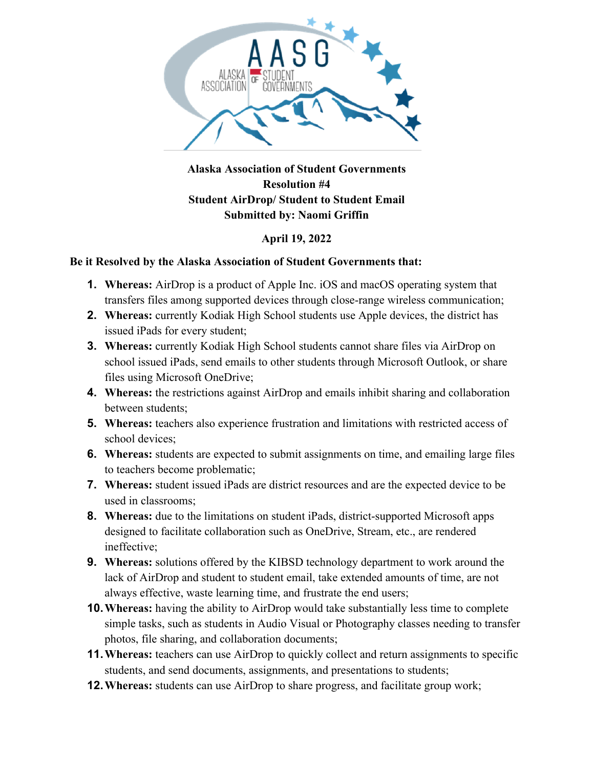

## **Alaska Association of Student Governments Resolution #4 Student AirDrop/ Student to Student Email Submitted by: Naomi Griffin**

## **April 19, 2022**

## **Be it Resolved by the Alaska Association of Student Governments that:**

- **1. Whereas:** AirDrop is a product of Apple Inc. iOS and macOS operating system that transfers files among supported devices through close-range wireless communication;
- **2. Whereas:** currently Kodiak High School students use Apple devices, the district has issued iPads for every student;
- **3. Whereas:** currently Kodiak High School students cannot share files via AirDrop on school issued iPads, send emails to other students through Microsoft Outlook, or share files using Microsoft OneDrive;
- **4. Whereas:** the restrictions against AirDrop and emails inhibit sharing and collaboration between students;
- **5. Whereas:** teachers also experience frustration and limitations with restricted access of school devices;
- **6. Whereas:** students are expected to submit assignments on time, and emailing large files to teachers become problematic;
- **7. Whereas:** student issued iPads are district resources and are the expected device to be used in classrooms;
- **8. Whereas:** due to the limitations on student iPads, district-supported Microsoft apps designed to facilitate collaboration such as OneDrive, Stream, etc., are rendered ineffective;
- **9. Whereas:** solutions offered by the KIBSD technology department to work around the lack of AirDrop and student to student email, take extended amounts of time, are not always effective, waste learning time, and frustrate the end users;
- **10.Whereas:** having the ability to AirDrop would take substantially less time to complete simple tasks, such as students in Audio Visual or Photography classes needing to transfer photos, file sharing, and collaboration documents;
- **11.Whereas:** teachers can use AirDrop to quickly collect and return assignments to specific students, and send documents, assignments, and presentations to students;
- **12.Whereas:** students can use AirDrop to share progress, and facilitate group work;